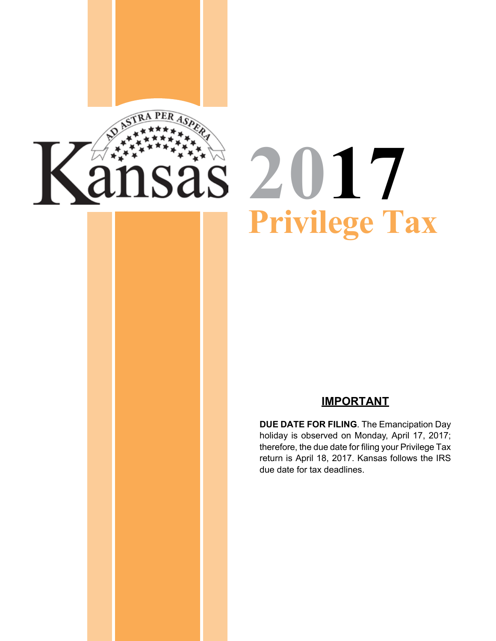

# **2017 Privilege Tax**

### **IMPORTANT**

**DUE DATE FOR FILING**. The Emancipation Day holiday is observed on Monday, April 17, 2017; therefore, the due date for filing your Privilege Tax return is April 18, 2017. Kansas follows the IRS due date for tax deadlines.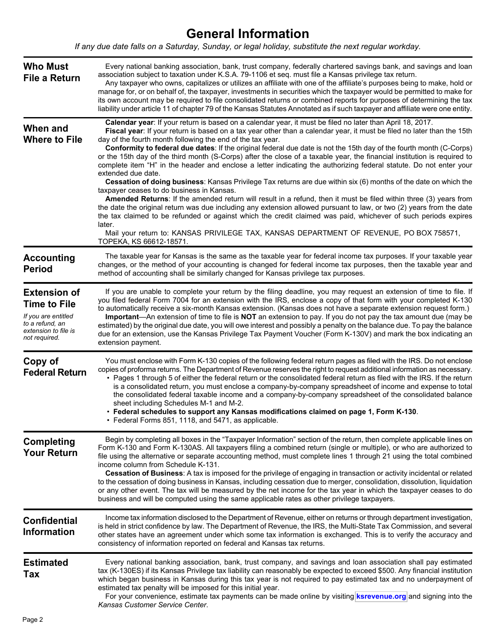# **General Information**

*If any due date falls on a Saturday, Sunday, or legal holiday, substitute the next regular workday.* 

| <b>Who Must</b><br><b>File a Return</b>                                                                                       | Every national banking association, bank, trust company, federally chartered savings bank, and savings and loan<br>association subject to taxation under K.S.A. 79-1106 et seq. must file a Kansas privilege tax return.<br>Any taxpayer who owns, capitalizes or utilizes an affiliate with one of the affiliate's purposes being to make, hold or<br>manage for, or on behalf of, the taxpayer, investments in securities which the taxpayer would be permitted to make for<br>its own account may be required to file consolidated returns or combined reports for purposes of determining the tax<br>liability under article 11 of chapter 79 of the Kansas Statutes Annotated as if such taxpayer and affiliate were one entity.                                                                                                                                                                                                                                                                                                                                                                                                                                                                                                                                                                                                                            |
|-------------------------------------------------------------------------------------------------------------------------------|------------------------------------------------------------------------------------------------------------------------------------------------------------------------------------------------------------------------------------------------------------------------------------------------------------------------------------------------------------------------------------------------------------------------------------------------------------------------------------------------------------------------------------------------------------------------------------------------------------------------------------------------------------------------------------------------------------------------------------------------------------------------------------------------------------------------------------------------------------------------------------------------------------------------------------------------------------------------------------------------------------------------------------------------------------------------------------------------------------------------------------------------------------------------------------------------------------------------------------------------------------------------------------------------------------------------------------------------------------------|
| When and<br><b>Where to File</b>                                                                                              | Calendar year: If your return is based on a calendar year, it must be filed no later than April 18, 2017.<br>Fiscal year: If your return is based on a tax year other than a calendar year, it must be filed no later than the 15th<br>day of the fourth month following the end of the tax year.<br>Conformity to federal due dates: If the original federal due date is not the 15th day of the fourth month (C-Corps)<br>or the 15th day of the third month (S-Corps) after the close of a taxable year, the financial institution is required to<br>complete item "H" in the header and enclose a letter indicating the authorizing federal statute. Do not enter your<br>extended due date.<br>Cessation of doing business: Kansas Privilege Tax returns are due within six (6) months of the date on which the<br>taxpayer ceases to do business in Kansas.<br>Amended Returns: If the amended return will result in a refund, then it must be filed within three (3) years from<br>the date the original return was due including any extension allowed pursuant to law, or two (2) years from the date<br>the tax claimed to be refunded or against which the credit claimed was paid, whichever of such periods expires<br>later.<br>Mail your return to: KANSAS PRIVILEGE TAX, KANSAS DEPARTMENT OF REVENUE, PO BOX 758571,<br>TOPEKA, KS 66612-18571. |
| <b>Accounting</b><br><b>Period</b>                                                                                            | The taxable year for Kansas is the same as the taxable year for federal income tax purposes. If your taxable year<br>changes, or the method of your accounting is changed for federal income tax purposes, then the taxable year and<br>method of accounting shall be similarly changed for Kansas privilege tax purposes.                                                                                                                                                                                                                                                                                                                                                                                                                                                                                                                                                                                                                                                                                                                                                                                                                                                                                                                                                                                                                                       |
| <b>Extension of</b><br><b>Time to File</b><br>If you are entitled<br>to a refund, an<br>extension to file is<br>not required. | If you are unable to complete your return by the filing deadline, you may request an extension of time to file. If<br>you filed federal Form 7004 for an extension with the IRS, enclose a copy of that form with your completed K-130<br>to automatically receive a six-month Kansas extension. (Kansas does not have a separate extension request form.)<br>Important—An extension of time to file is NOT an extension to pay. If you do not pay the tax amount due (may be<br>estimated) by the original due date, you will owe interest and possibly a penalty on the balance due. To pay the balance<br>due for an extension, use the Kansas Privilege Tax Payment Voucher (Form K-130V) and mark the box indicating an<br>extension payment.                                                                                                                                                                                                                                                                                                                                                                                                                                                                                                                                                                                                               |
| Copy of<br><b>Federal Return</b>                                                                                              | You must enclose with Form K-130 copies of the following federal return pages as filed with the IRS. Do not enclose<br>copies of proforma returns. The Department of Revenue reserves the right to request additional information as necessary.<br>• Pages 1 through 5 of either the federal return or the consolidated federal return as filed with the IRS. If the return<br>is a consolidated return, you must enclose a company-by-company spreadsheet of income and expense to total<br>the consolidated federal taxable income and a company-by-company spreadsheet of the consolidated balance<br>sheet including Schedules M-1 and M-2.<br>• Federal schedules to support any Kansas modifications claimed on page 1, Form K-130.<br>• Federal Forms 851, 1118, and 5471, as applicable.                                                                                                                                                                                                                                                                                                                                                                                                                                                                                                                                                                 |
| <b>Completing</b><br><b>Your Return</b>                                                                                       | Begin by completing all boxes in the "Taxpayer Information" section of the return, then complete applicable lines on<br>Form K-130 and Form K-130AS. All taxpayers filing a combined return (single or multiple), or who are authorized to<br>file using the alternative or separate accounting method, must complete lines 1 through 21 using the total combined<br>income column from Schedule K-131.<br>Cessation of Business: A tax is imposed for the privilege of engaging in transaction or activity incidental or related<br>to the cessation of doing business in Kansas, including cessation due to merger, consolidation, dissolution, liquidation<br>or any other event. The tax will be measured by the net income for the tax year in which the taxpayer ceases to do<br>business and will be computed using the same applicable rates as other privilege taxpayers.                                                                                                                                                                                                                                                                                                                                                                                                                                                                               |
| <b>Confidential</b><br><b>Information</b>                                                                                     | Income tax information disclosed to the Department of Revenue, either on returns or through department investigation,<br>is held in strict confidence by law. The Department of Revenue, the IRS, the Multi-State Tax Commission, and several<br>other states have an agreement under which some tax information is exchanged. This is to verify the accuracy and<br>consistency of information reported on federal and Kansas tax returns.                                                                                                                                                                                                                                                                                                                                                                                                                                                                                                                                                                                                                                                                                                                                                                                                                                                                                                                      |
| <b>Estimated</b><br>Tax                                                                                                       | Every national banking association, bank, trust company, and savings and loan association shall pay estimated<br>tax (K-130ES) if its Kansas Privilege tax liability can reasonably be expected to exceed \$500. Any financial institution<br>which began business in Kansas during this tax year is not required to pay estimated tax and no underpayment of<br>estimated tax penalty will be imposed for this initial year.<br>For your convenience, estimate tax payments can be made online by visiting <b>ksrevenue.org</b> and signing into the<br>Kansas Customer Service Center.                                                                                                                                                                                                                                                                                                                                                                                                                                                                                                                                                                                                                                                                                                                                                                         |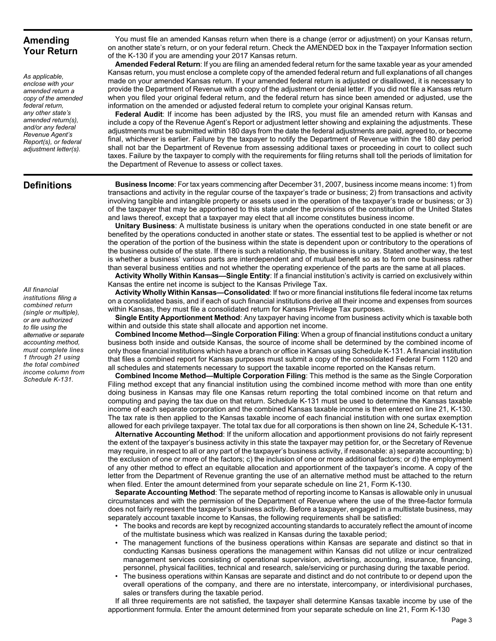### **Amending Your Return**

*As applicable, enclose with your amended return a copy of the amended federal return, any other state's amended return(s), and/or any federal Revenue Agent's Report(s), or federal adjustment letter(s).* 

**Definitions** 

 *institutions filing a All financial combined return (single or multiple), or are authorized to file using the alternative or separate accounting method, must complete lines 1 through 21 using the total combined income column from Schedule K-131.* 

You must file an amended Kansas return when there is a change (error or adjustment) on your Kansas return, on another state's return, or on your federal return. Check the AMENDED box in the Taxpayer Information section of the K-130 if you are amending your 2017 Kansas return.

 Kansas return, you must enclose a complete copy of the amended federal return and full explanations of all changes **Amended Federal Return**: If you are filing an amended federal return for the same taxable year as your amended made on your amended Kansas return. If your amended federal return is adjusted or disallowed, it is necessary to provide the Department of Revenue with a copy of the adjustment or denial letter. If you did not file a Kansas return when you filed your original federal return, and the federal return has since been amended or adjusted, use the information on the amended or adjusted federal return to complete your original Kansas return.

**Federal Audit**: If income has been adjusted by the IRS, you must file an amended return with Kansas and include a copy of the Revenue Agent's Report or adjustment letter showing and explaining the adjustments. These adjustments must be submitted within 180 days from the date the federal adjustments are paid, agreed to, or become final, whichever is earlier. Failure by the taxpayer to notify the Department of Revenue within the 180 day period shall not bar the Department of Revenue from assessing additional taxes or proceeding in court to collect such taxes. Failure by the taxpayer to comply with the requirements for filing returns shall toll the periods of limitation for the Department of Revenue to assess or collect taxes.

**Business Income**: For tax years commencing after December 31, 2007, business income means income: 1) from transactions and activity in the regular course of the taxpayer's trade or business; 2) from transactions and activity involving tangible and intangible property or assets used in the operation of the taxpayer's trade or business; or 3) of the taxpayer that may be apportioned to this state under the provisions of the constitution of the United States and laws thereof, except that a taxpayer may elect that all income constitutes business income.

**Unitary Business**: A multistate business is unitary when the operations conducted in one state benefit or are benefited by the operations conducted in another state or states. The essential test to be applied is whether or not the operation of the portion of the business within the state is dependent upon or contributory to the operations of the business outside of the state. If there is such a relationship, the business is unitary. Stated another way, the test is whether a business' various parts are interdependent and of mutual benefit so as to form one business rather than several business entities and not whether the operating experience of the parts are the same at all places.

**Activity Wholly Within Kansas—Single Entity**: If a financial institution's activity is carried on exclusively within Kansas the entire net income is subject to the Kansas Privilege Tax.

 **Activity Wholly Within Kansas—Consolidated**: If two or more financial institutions file federal income tax returns on a consolidated basis, and if each of such financial institutions derive all their income and expenses from sources within Kansas, they must file a consolidated return for Kansas Privilege Tax purposes.

**Single Entity Apportionment Method**: Any taxpayer having income from business activity which is taxable both within and outside this state shall allocate and apportion net income.

**Combined Income Method—Single Corporation Filing**: When a group of financial institutions conduct a unitary business both inside and outside Kansas, the source of income shall be determined by the combined income of only those financial institutions which have a branch or office in Kansas using Schedule K-131. A financial institution that files a combined report for Kansas purposes must submit a copy of the consolidated Federal Form 1120 and all schedules and statements necessary to support the taxable income reported on the Kansas return.

**Combined Income Method—Multiple Corporation Filing**: This method is the same as the Single Corporation Filing method except that any financial institution using the combined income method with more than one entity doing business in Kansas may file one Kansas return reporting the total combined income on that return and computing and paying the tax due on that return. Schedule K-131 must be used to determine the Kansas taxable income of each separate corporation and the combined Kansas taxable income is then entered on line 21, K-130. The tax rate is then applied to the Kansas taxable income of each financial institution with one surtax exemption allowed for each privilege taxpayer. The total tax due for all corporations is then shown on line 24, Schedule K-131.

**Alternative Accounting Method**: If the uniform allocation and apportionment provisions do not fairly represent the extent of the taxpayer's business activity in this state the taxpayer may petition for, or the Secretary of Revenue may require, in respect to all or any part of the taxpayer's business activity, if reasonable: a) separate accounting; b) the exclusion of one or more of the factors; c) the inclusion of one or more additional factors; or d) the employment of any other method to effect an equitable allocation and apportionment of the taxpayer's income. A copy of the letter from the Department of Revenue granting the use of an alternative method must be attached to the return when filed. Enter the amount determined from your separate schedule on line 21, Form K-130.

**Separate Accounting Method**: The separate method of reporting income to Kansas is allowable only in unusual circumstances and with the permission of the Department of Revenue where the use of the three-factor formula does not fairly represent the taxpayer's business activity. Before a taxpayer, engaged in a multistate business, may separately account taxable income to Kansas, the following requirements shall be satisfied:

- • The books and records are kept by recognized accounting standards to accurately reflect the amount of income of the multistate business which was realized in Kansas during the taxable period;
- The management functions of the business operations within Kansas are separate and distinct so that in conducting Kansas business operations the management within Kansas did not utilize or incur centralized management services consisting of operational supervision, advertising, accounting, insurance, financing, personnel, physical facilities, technical and research, sale/servicing or purchasing during the taxable period.
- The business operations within Kansas are separate and distinct and do not contribute to or depend upon the overall operations of the company, and there are no interstate, intercompany, or interdivisional purchases, sales or transfers during the taxable period.

If all three requirements are not satisfied, the taxpayer shall determine Kansas taxable income by use of the apportionment formula. Enter the amount determined from your separate schedule on line 21, Form K-130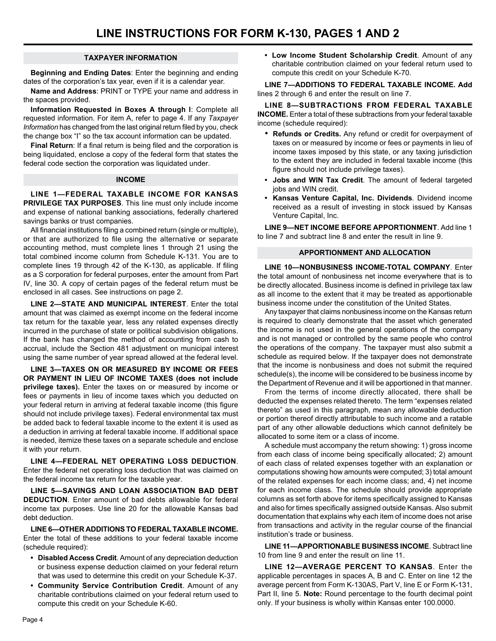#### **TAXPAYER INFORMATION**

**Beginning and Ending Dates**: Enter the beginning and ending dates of the corporation's tax year, even if it is a calendar year.

**Name and Address**: PRINT or TYPE your name and address in the spaces provided.

**Information Requested in Boxes A through l**: Complete all requested information. For item A, refer to page 4. If any *Taxpayer Information* has changed from the last original return filed by you, check the change box "I" so the tax account information can be updated.

**Final Return**: If a final return is being filed and the corporation is being liquidated, enclose a copy of the federal form that states the federal code section the corporation was liquidated under.

#### **INCOME**

**LINE 1—FEDERAL TAXABLE INCOME FOR KANSAS PRIVILEGE TAX PURPOSES**. This line must only include income and expense of national banking associations, federally chartered savings banks or trust companies.

 accounting method, must complete lines 1 through 21 using the All financial institutions filing a combined return (single or multiple), or that are authorized to file using the alternative or separate total combined income column from Schedule K-131. You are to complete lines 19 through 42 of the K-130, as applicable. If filing as a S corporation for federal purposes, enter the amount from Part IV, line 30. A copy of certain pages of the federal return must be enclosed in all cases. See instructions on page 2.

**LINE 2—STATE AND MUNICIPAL INTEREST**. Enter the total amount that was claimed as exempt income on the federal income tax return for the taxable year, less any related expenses directly incurred in the purchase of state or political subdivision obligations. If the bank has changed the method of accounting from cash to accrual, include the Section 481 adjustment on municipal interest using the same number of year spread allowed at the federal level.

**LINE 3—TAXES ON OR MEASURED BY INCOME OR FEES OR PAYMENT IN LIEU OF INCOME TAXES (does not include privilege taxes).** Enter the taxes on or measured by income or fees or payments in lieu of income taxes which you deducted on your federal return in arriving at federal taxable income (this figure should not include privilege taxes). Federal environmental tax must be added back to federal taxable income to the extent it is used as a deduction in arriving at federal taxable income. If additional space is needed, itemize these taxes on a separate schedule and enclose it with your return.

**LINE 4—FEDERAL NET OPERATING LOSS DEDUCTION**. Enter the federal net operating loss deduction that was claimed on the federal income tax return for the taxable year.

**LINE 5—SAVINGS AND LOAN ASSOCIATION BAD DEBT DEDUCTION**. Enter amount of bad debts allowable for federal income tax purposes. Use line 20 for the allowable Kansas bad debt deduction.

**LINE 6—OTHER ADDITIONS TO FEDERAL TAXABLE INCOME.**  Enter the total of these additions to your federal taxable income (schedule required):

- **• Disabled Access Credit**. Amount of any depreciation deduction or business expense deduction claimed on your federal return that was used to determine this credit on your Schedule K-37.
- **• Community Service Contribution Credit**. Amount of any charitable contributions claimed on your federal return used to compute this credit on your Schedule K-60.

**• Low Income Student Scholarship Credit**. Amount of any charitable contribution claimed on your federal return used to compute this credit on your Schedule K-70.

**LINE 7—ADDITIONS TO FEDERAL TAXABLE INCOME. Add**  lines 2 through 6 and enter the result on line 7.

**LINE 8—SUBTRACTIONS FROM FEDERAL TAXABLE INCOME.** Enter a total of these subtractions from your federal taxable income (schedule required):

- **Refunds or Credits.** Any refund or credit for overpayment of taxes on or measured by income or fees or payments in lieu of income taxes imposed by this state, or any taxing jurisdiction to the extent they are included in federal taxable income (this figure should not include privilege taxes).
- **• Jobs and WIN Tax Credit**. The amount of federal targeted jobs and WIN credit.
- **• Kansas Venture Capital, Inc. Dividends**. Dividend income received as a result of investing in stock issued by Kansas Venture Capital, Inc.

**LINE 9—NET INCOME BEFORE APPORTIONMENT**. Add line 1 to line 7 and subtract line 8 and enter the result in line 9.

#### **APPORTIONMENT AND ALLOCATION**

**LINE 10—NONBUSINESS INCOME-TOTAL COMPANY**. Enter the total amount of nonbusiness net income everywhere that is to be directly allocated. Business income is defined in privilege tax law as all income to the extent that it may be treated as apportionable business income under the constitution of the United States.

 schedule(s), the income will be considered to be business income by Any taxpayer that claims nonbusiness income on the Kansas return is required to clearly demonstrate that the asset which generated the income is not used in the general operations of the company and is not managed or controlled by the same people who control the operations of the company. The taxpayer must also submit a schedule as required below. If the taxpayer does not demonstrate that the income is nonbusiness and does not submit the required the Department of Revenue and it will be apportioned in that manner.

From the terms of income directly allocated, there shall be deducted the expenses related thereto. The term "expenses related thereto" as used in this paragraph, mean any allowable deduction or portion thereof directly attributable to such income and a ratable part of any other allowable deductions which cannot definitely be allocated to some item or a class of income.

A schedule must accompany the return showing: 1) gross income from each class of income being specifically allocated; 2) amount of each class of related expenses together with an explanation or computations showing how amounts were computed; 3) total amount of the related expenses for each income class; and, 4) net income for each income class. The schedule should provide appropriate columns as set forth above for items specifically assigned to Kansas and also for times specifically assigned outside Kansas. Also submit documentation that explains why each item of income does not arise from transactions and activity in the regular course of the financial institution's trade or business.

**LINE 11—APPORTIONABLE BUSINESS INCOME**. Subtract line 10 from line 9 and enter the result on line 11.

**LINE 12—AVERAGE PERCENT TO KANSAS**. Enter the applicable percentages in spaces A, B and C. Enter on line 12 the average percent from Form K-130AS, Part V, line E or Form K-131, Part II, line 5. **Note:** Round percentage to the fourth decimal point only. If your business is wholly within Kansas enter 100.0000.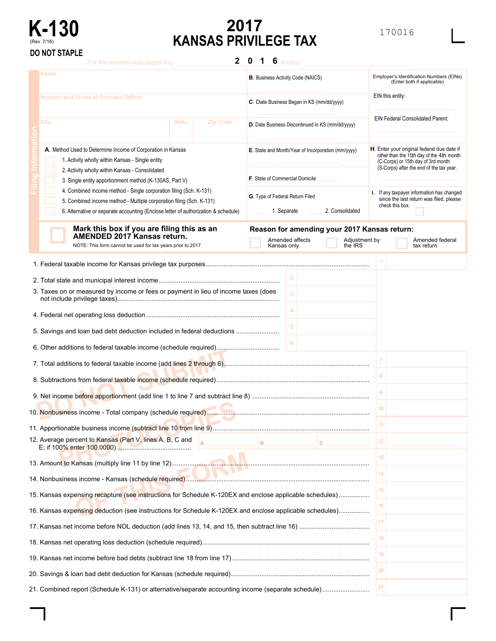

# **2017 KANSAS PRIVILEGE TAX** 170016

|                                                                                                         | וויט ויטוויט<br>For the taxable year beginning                                                                                                                                                                                                                                                      | $\mathbf{2}$                    | 0                                        | 6 ending        |                                                                          |                |                                                                                                                                                                                                                        |
|---------------------------------------------------------------------------------------------------------|-----------------------------------------------------------------------------------------------------------------------------------------------------------------------------------------------------------------------------------------------------------------------------------------------------|---------------------------------|------------------------------------------|-----------------|--------------------------------------------------------------------------|----------------|------------------------------------------------------------------------------------------------------------------------------------------------------------------------------------------------------------------------|
|                                                                                                         | <b>Name</b>                                                                                                                                                                                                                                                                                         |                                 | <b>B.</b> Business Activity Code (NAICS) |                 |                                                                          |                | Employer's Identification Numbers (EINs)<br>(Enter both if applicable)                                                                                                                                                 |
| <b>Number and Street of Principal Office</b><br>C. Date Business Began in KS (mm/dd/yyyy)               |                                                                                                                                                                                                                                                                                                     |                                 | EIN this entity:                         |                 |                                                                          |                |                                                                                                                                                                                                                        |
|                                                                                                         | City                                                                                                                                                                                                                                                                                                | <b>Zip Code</b><br><b>State</b> |                                          |                 | D. Date Business Discontinued in KS (mm/dd/yyyy)                         |                | <b>EIN Federal Consolidated Parent:</b>                                                                                                                                                                                |
|                                                                                                         | A. Method Used to Determine Income of Corporation in Kansas<br>1. Activity wholly within Kansas - Single entity<br>2. Activity wholly within Kansas - Consolidated<br>3. Single entity apportionment method (K-130AS, Part V)<br>4. Combined income method - Single corporation filing (Sch. K-131) |                                 | F. State of Commercial Domicile          |                 | E. State and Month/Year of Incorporation (mm/yyyy)                       |                | H. Enter your original federal due date if<br>other than the 15th day of the 4th month<br>(C-Corps) or 15th day of 3rd month<br>(S-Corps) after the end of the tax year.<br>I. If any taxpayer information has changed |
|                                                                                                         | 5. Combined income method - Multiple corporation filing (Sch. K-131)<br>6. Alternative or separate accounting (Enclose letter of authorization & schedule)                                                                                                                                          |                                 | G. Type of Federal Return Filed          | 1. Separate     | 2. Consolidated                                                          |                | since the last return was filed, please<br>check this box.                                                                                                                                                             |
|                                                                                                         | Mark this box if you are filing this as an<br>AMENDED 2017 Kansas return.<br>NOTE: This form cannot be used for tax years prior to 2017.                                                                                                                                                            |                                 | Kansas only                              | Amended affects | Reason for amending your 2017 Kansas return:<br>Adjustment by<br>the IRS |                | Amended federal<br>tax return                                                                                                                                                                                          |
|                                                                                                         |                                                                                                                                                                                                                                                                                                     |                                 |                                          |                 |                                                                          | 1              |                                                                                                                                                                                                                        |
|                                                                                                         |                                                                                                                                                                                                                                                                                                     |                                 |                                          | $\overline{2}$  |                                                                          |                |                                                                                                                                                                                                                        |
|                                                                                                         | 3. Taxes on or measured by income or fees or payment in lieu of income taxes (does                                                                                                                                                                                                                  |                                 |                                          |                 |                                                                          |                |                                                                                                                                                                                                                        |
|                                                                                                         |                                                                                                                                                                                                                                                                                                     |                                 |                                          |                 |                                                                          |                |                                                                                                                                                                                                                        |
|                                                                                                         | 5. Savings and loan bad debt deduction included in federal deductions                                                                                                                                                                                                                               |                                 |                                          |                 |                                                                          |                |                                                                                                                                                                                                                        |
|                                                                                                         |                                                                                                                                                                                                                                                                                                     |                                 |                                          |                 |                                                                          |                |                                                                                                                                                                                                                        |
|                                                                                                         |                                                                                                                                                                                                                                                                                                     |                                 |                                          |                 |                                                                          | $\overline{7}$ |                                                                                                                                                                                                                        |
|                                                                                                         |                                                                                                                                                                                                                                                                                                     |                                 |                                          |                 |                                                                          | 8              |                                                                                                                                                                                                                        |
|                                                                                                         |                                                                                                                                                                                                                                                                                                     |                                 |                                          | 9               |                                                                          |                |                                                                                                                                                                                                                        |
|                                                                                                         |                                                                                                                                                                                                                                                                                                     |                                 | 10 <sup>°</sup>                          |                 |                                                                          |                |                                                                                                                                                                                                                        |
|                                                                                                         |                                                                                                                                                                                                                                                                                                     |                                 |                                          |                 |                                                                          | 11             |                                                                                                                                                                                                                        |
|                                                                                                         | 12. Average percent to Kansas (Part V, lines A, B, C and                                                                                                                                                                                                                                            |                                 | в                                        |                 | c                                                                        | 12             |                                                                                                                                                                                                                        |
|                                                                                                         |                                                                                                                                                                                                                                                                                                     |                                 |                                          |                 |                                                                          | 13             |                                                                                                                                                                                                                        |
|                                                                                                         |                                                                                                                                                                                                                                                                                                     |                                 |                                          |                 |                                                                          | 14             |                                                                                                                                                                                                                        |
|                                                                                                         |                                                                                                                                                                                                                                                                                                     |                                 | 15                                       |                 |                                                                          |                |                                                                                                                                                                                                                        |
| 15. Kansas expensing recapture (see instructions for Schedule K-120EX and enclose applicable schedules) |                                                                                                                                                                                                                                                                                                     |                                 | 16                                       |                 |                                                                          |                |                                                                                                                                                                                                                        |
|                                                                                                         | 16. Kansas expensing deduction (see instructions for Schedule K-120EX and enclose applicable schedules)                                                                                                                                                                                             |                                 |                                          |                 |                                                                          | 17             |                                                                                                                                                                                                                        |
|                                                                                                         |                                                                                                                                                                                                                                                                                                     |                                 |                                          |                 |                                                                          |                |                                                                                                                                                                                                                        |
|                                                                                                         |                                                                                                                                                                                                                                                                                                     |                                 |                                          |                 |                                                                          | 18             |                                                                                                                                                                                                                        |
|                                                                                                         |                                                                                                                                                                                                                                                                                                     |                                 |                                          |                 |                                                                          | 19             |                                                                                                                                                                                                                        |
|                                                                                                         |                                                                                                                                                                                                                                                                                                     |                                 |                                          |                 |                                                                          | 20             |                                                                                                                                                                                                                        |
|                                                                                                         | 21. Combined report (Schedule K-131) or alternative/separate accounting income (separate schedule)                                                                                                                                                                                                  |                                 |                                          |                 |                                                                          | 21             |                                                                                                                                                                                                                        |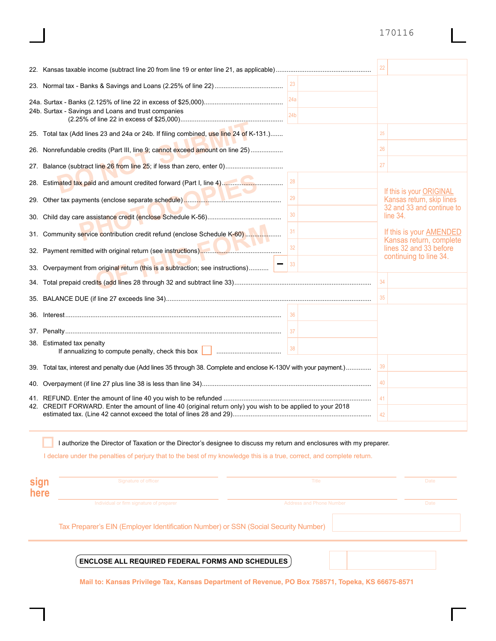|                                                                                                                   |                 | 22 |                                                           |
|-------------------------------------------------------------------------------------------------------------------|-----------------|----|-----------------------------------------------------------|
|                                                                                                                   |                 |    |                                                           |
| 24b. Surtax - Savings and Loans and trust companies                                                               | 24b             |    |                                                           |
| 25. Total tax (Add lines 23 and 24a or 24b. If filing combined, use line 24 of K-131.)                            |                 | 25 |                                                           |
| 26. Nonrefundable credits (Part III, line 9; cannot exceed amount on line 25)                                     |                 | 26 |                                                           |
|                                                                                                                   |                 | 27 |                                                           |
| 28. Estimated tax paid and amount credited forward (Part I, line 4)                                               | 28              |    |                                                           |
|                                                                                                                   | 29              |    | If this is your ORIGINAL<br>Kansas return, skip lines     |
|                                                                                                                   | 30 <sup>°</sup> |    | 32 and 33 and continue to<br>line 34.                     |
| 31. Community service contribution credit refund (enclose Schedule K-60)                                          | 31              |    | If this is your <b>AMENDED</b><br>Kansas return, complete |
|                                                                                                                   | 32              |    | lines 32 and 33 before<br>continuing to line 34.          |
| 33. Overpayment from original return (this is a subtraction; see instructions)                                    | 33              |    |                                                           |
|                                                                                                                   |                 | 34 |                                                           |
|                                                                                                                   |                 | 35 |                                                           |
|                                                                                                                   |                 |    |                                                           |
|                                                                                                                   |                 |    |                                                           |
| 38. Estimated tax penalty<br>If annualizing to compute penalty, check this box <b>National Community</b> 138      |                 |    |                                                           |
| 39. Total tax, interest and penalty due (Add lines 35 through 38. Complete and enclose K-130V with your payment.) |                 | 39 |                                                           |
|                                                                                                                   |                 | 40 |                                                           |
|                                                                                                                   |                 | 41 |                                                           |
| 42. CREDIT FORWARD. Enter the amount of line 40 (original return only) you wish to be applied to your 2018        |                 | 42 |                                                           |

I authorize the Director of Taxation or the Director's designee to discuss my return and enclosures with my preparer.

I declare under the penalties of perjury that to the best of my knowledge this is a true, correct, and complete return.

| sign<br>here | Signature of officer                                                                | Title                    | Date |
|--------------|-------------------------------------------------------------------------------------|--------------------------|------|
|              | Individual or firm signature of preparer                                            | Address and Phone Number | Date |
|              | Tax Preparer's EIN (Employer Identification Number) or SSN (Social Security Number) |                          |      |

**ENCLOSE ALL REQUIRED FEDERAL FORMS AND SCHEDULES**

**Mail to: Kansas Privilege Tax, Kansas Department of Revenue, PO Box 758571, Topeka, KS 66675-8571**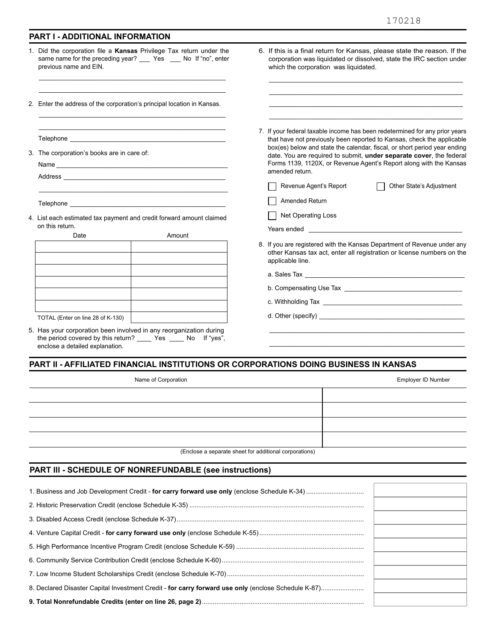| 1. Did the corporation file a Kansas Privilege Tax return under the<br>same name for the preceding year? _____ Yes ____ No If "no", enter<br>previous name and EIN.                                                                                                 | 6. If this is a final return for Kansas, please state the reason. If the<br>corporation was liquidated or dissolved, state the IRC section under<br>which the corporation was liquidated.                                                 |
|---------------------------------------------------------------------------------------------------------------------------------------------------------------------------------------------------------------------------------------------------------------------|-------------------------------------------------------------------------------------------------------------------------------------------------------------------------------------------------------------------------------------------|
| 2. Enter the address of the corporation's principal location in Kansas.                                                                                                                                                                                             |                                                                                                                                                                                                                                           |
| Telephone and the contract of the contract of the contract of the contract of the contract of the contract of the contract of the contract of the contract of the contract of the contract of the contract of the contract of                                       | 7. If your federal taxable income has been redetermined for any prior years<br>that have not previously been reported to Kansas, check the applicable                                                                                     |
| 3. The corporation's books are in care of:                                                                                                                                                                                                                          | box(es) below and state the calendar, fiscal, or short period year ending<br>date. You are required to submit, under separate cover, the federal<br>Forms 1139, 1120X, or Revenue Agent's Report along with the Kansas<br>amended return. |
| Address and the contract of the contract of the contract of the contract of the contract of the contract of the contract of the contract of the contract of the contract of the contract of the contract of the contract of th                                      | Revenue Agent's Report<br>Other State's Adjustment                                                                                                                                                                                        |
|                                                                                                                                                                                                                                                                     | Amended Return                                                                                                                                                                                                                            |
|                                                                                                                                                                                                                                                                     | Net Operating Loss                                                                                                                                                                                                                        |
| 4. List each estimated tax payment and credit forward amount claimed<br>on this return.                                                                                                                                                                             | Years ended and the contract of the contract of the contract of the contract of the contract of the contract of the contract of the contract of the contract of the contract of the contract of the contract of the contract o            |
| Date<br>Amount                                                                                                                                                                                                                                                      |                                                                                                                                                                                                                                           |
|                                                                                                                                                                                                                                                                     | 8. If you are registered with the Kansas Department of Revenue under any<br>other Kansas tax act, enter all registration or license numbers on the<br>applicable line.                                                                    |
|                                                                                                                                                                                                                                                                     |                                                                                                                                                                                                                                           |
|                                                                                                                                                                                                                                                                     |                                                                                                                                                                                                                                           |
|                                                                                                                                                                                                                                                                     |                                                                                                                                                                                                                                           |
| TOTAL (Enter on line 28 of K-130)                                                                                                                                                                                                                                   | d. Other (specify) $\frac{1}{2}$ (see if the set of the set of the set of the set of the set of the set of the set of the set of the set of the set of the set of the set of the set of the set of the set of the set of the set          |
| 5. Has your corporation been involved in any reorganization during<br>the period covered by this return? _______ Yes ______ No If "yes",<br>enclose a detailed explanation.<br>PART II - AFFILIATED FINANCIAL INSTITUTIONS OR CORPORATIONS DOING BUSINESS IN KANSAS |                                                                                                                                                                                                                                           |
| Name of Corporation                                                                                                                                                                                                                                                 | Employer ID Number                                                                                                                                                                                                                        |
|                                                                                                                                                                                                                                                                     |                                                                                                                                                                                                                                           |
|                                                                                                                                                                                                                                                                     |                                                                                                                                                                                                                                           |
|                                                                                                                                                                                                                                                                     |                                                                                                                                                                                                                                           |
|                                                                                                                                                                                                                                                                     |                                                                                                                                                                                                                                           |
|                                                                                                                                                                                                                                                                     | (Enclose a separate sheet for additional corporations)                                                                                                                                                                                    |
|                                                                                                                                                                                                                                                                     |                                                                                                                                                                                                                                           |
| PART III - SCHEDULE OF NONREFUNDABLE (see instructions)                                                                                                                                                                                                             |                                                                                                                                                                                                                                           |
|                                                                                                                                                                                                                                                                     |                                                                                                                                                                                                                                           |
|                                                                                                                                                                                                                                                                     |                                                                                                                                                                                                                                           |
|                                                                                                                                                                                                                                                                     |                                                                                                                                                                                                                                           |
|                                                                                                                                                                                                                                                                     |                                                                                                                                                                                                                                           |

|--|--|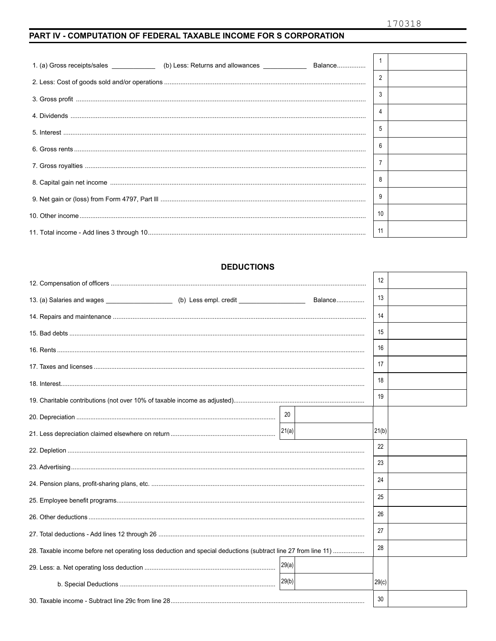#### PART IV - COMPUTATION OF FEDERAL TAXABLE INCOME FOR S CORPORATION

| 1. (a) Gross receipts/sales _______________ (b) Less: Returns and allowances ______________ Balance |  |    |  |
|-----------------------------------------------------------------------------------------------------|--|----|--|
|                                                                                                     |  |    |  |
|                                                                                                     |  | 3  |  |
|                                                                                                     |  | 4  |  |
|                                                                                                     |  | 5  |  |
|                                                                                                     |  | 6  |  |
|                                                                                                     |  |    |  |
|                                                                                                     |  | 8  |  |
|                                                                                                     |  | -9 |  |
|                                                                                                     |  | 10 |  |
|                                                                                                     |  | 11 |  |

#### **DEDUCTIONS**

|                                                                                                               |         | 12    |  |
|---------------------------------------------------------------------------------------------------------------|---------|-------|--|
| 13. (a) Salaries and wages ____________________(b) Less empl. credit ___________                              | Balance | 13    |  |
|                                                                                                               |         | 14    |  |
|                                                                                                               |         | 15    |  |
|                                                                                                               |         | 16    |  |
|                                                                                                               |         | 17    |  |
|                                                                                                               |         | 18    |  |
|                                                                                                               |         | 19    |  |
|                                                                                                               | 20      |       |  |
|                                                                                                               | 21(a)   | 21(b) |  |
|                                                                                                               |         | 22    |  |
|                                                                                                               |         | 23    |  |
|                                                                                                               |         | 24    |  |
|                                                                                                               |         | 25    |  |
|                                                                                                               |         | 26    |  |
|                                                                                                               |         | 27    |  |
| 28. Taxable income before net operating loss deduction and special deductions (subtract line 27 from line 11) |         | 28    |  |
|                                                                                                               | 29(a)   |       |  |
|                                                                                                               | 29(b)   | 29(c) |  |
|                                                                                                               |         | 30    |  |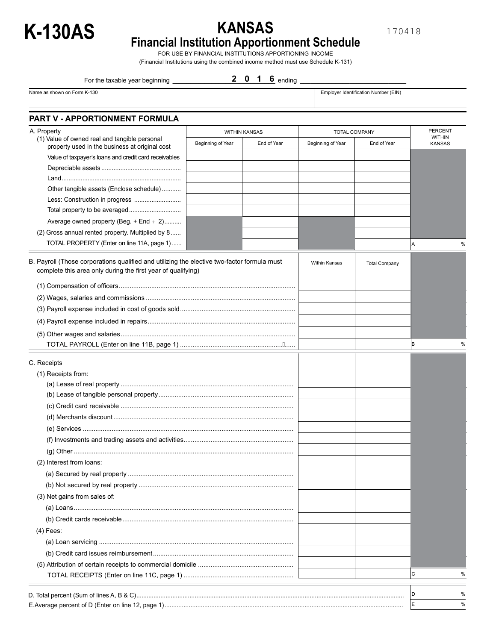

170418

C %

# **K-130AS KANSAS Financial Institution Apportionment Schedule**

FOR USE BY FINANCIAL INSTITUTIONS APPORTIONING INCOME (Financial Institutions using the combined income method must use Schedule K-131)

For the taxable year beginning \_ **2 0 1 6**

Name as shown on Form K-130 **Employer Identification Number (EIN)** Employer Identification Number (EIN)

| A. Property<br><b>WITHIN KANSAS</b>                                                                                                                         |                   | <b>TOTAL COMPANY</b> |                      | <b>PERCENT</b>       |                                |  |
|-------------------------------------------------------------------------------------------------------------------------------------------------------------|-------------------|----------------------|----------------------|----------------------|--------------------------------|--|
| (1) Value of owned real and tangible personal<br>property used in the business at original cost                                                             | Beginning of Year | End of Year          | Beginning of Year    | End of Year          | <b>WITHIN</b><br><b>KANSAS</b> |  |
| Value of taxpayer's loans and credit card receivables                                                                                                       |                   |                      |                      |                      |                                |  |
|                                                                                                                                                             |                   |                      |                      |                      |                                |  |
|                                                                                                                                                             |                   |                      |                      |                      |                                |  |
| Other tangible assets (Enclose schedule)                                                                                                                    |                   |                      |                      |                      |                                |  |
|                                                                                                                                                             |                   |                      |                      |                      |                                |  |
|                                                                                                                                                             |                   |                      |                      |                      |                                |  |
| Average owned property (Beg. + End $\div$ 2)                                                                                                                |                   |                      |                      |                      |                                |  |
| (2) Gross annual rented property. Multiplied by 8                                                                                                           |                   |                      |                      |                      |                                |  |
| TOTAL PROPERTY (Enter on line 11A, page 1)                                                                                                                  |                   |                      |                      |                      | A                              |  |
| B. Payroll (Those corporations qualified and utilizing the elective two-factor formula must<br>complete this area only during the first year of qualifying) |                   |                      | <b>Within Kansas</b> | <b>Total Company</b> |                                |  |
|                                                                                                                                                             |                   |                      |                      |                      |                                |  |
|                                                                                                                                                             |                   |                      |                      |                      |                                |  |
|                                                                                                                                                             |                   |                      |                      |                      |                                |  |
|                                                                                                                                                             |                   |                      |                      |                      |                                |  |
|                                                                                                                                                             |                   |                      |                      |                      |                                |  |
|                                                                                                                                                             |                   |                      |                      |                      |                                |  |
| C. Receipts                                                                                                                                                 |                   |                      |                      |                      |                                |  |
| (1) Receipts from:                                                                                                                                          |                   |                      |                      |                      |                                |  |
|                                                                                                                                                             |                   |                      |                      |                      |                                |  |
|                                                                                                                                                             |                   |                      |                      |                      |                                |  |
|                                                                                                                                                             |                   |                      |                      |                      |                                |  |
|                                                                                                                                                             |                   |                      |                      |                      |                                |  |
|                                                                                                                                                             |                   |                      |                      |                      |                                |  |
|                                                                                                                                                             |                   |                      |                      |                      |                                |  |
|                                                                                                                                                             |                   |                      |                      |                      |                                |  |
| (2) Interest from loans:                                                                                                                                    |                   |                      |                      |                      |                                |  |
|                                                                                                                                                             |                   |                      |                      |                      |                                |  |
|                                                                                                                                                             |                   |                      |                      |                      |                                |  |
| (3) Net gains from sales of:                                                                                                                                |                   |                      |                      |                      |                                |  |
|                                                                                                                                                             |                   |                      |                      |                      |                                |  |
|                                                                                                                                                             |                   |                      |                      |                      |                                |  |
| $(4)$ Fees:                                                                                                                                                 |                   |                      |                      |                      |                                |  |
|                                                                                                                                                             |                   |                      |                      |                      |                                |  |
|                                                                                                                                                             |                   |                      |                      |                      |                                |  |
|                                                                                                                                                             |                   |                      |                      |                      |                                |  |

| D. Total percent (Sum of lines A, B & C).          |  |
|----------------------------------------------------|--|
| E. Average percent of D (Enter on line 12, page 1) |  |

TOTAL RECEIPTS (Enter on line 11C, page 1) .............................................................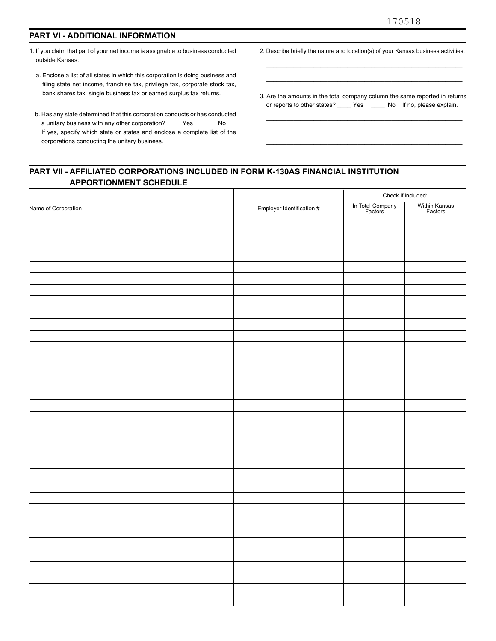#### **PART VI - ADDITIONAL INFORMATION**

- 1. If you claim that part of your net income is assignable to business conducted outside Kansas:
	- a. Enclose a list of all states in which this corporation is doing business and filing state net income, franchise tax, privilege tax, corporate stock tax, bank shares tax, single business tax or earned surplus tax returns.
- b. Has any state determined that this corporation conducts or has conducted a unitary business with any other corporation? \_\_\_ Yes \_\_\_\_ No If yes, specify which state or states and enclose a complete list of the corporations conducting the unitary business.
- 2. Describe briefly the nature and location(s) of your Kansas business activities.

\_\_\_\_\_\_\_\_\_\_\_\_\_\_\_\_\_\_\_\_\_\_\_\_\_\_\_\_\_\_\_\_\_\_\_\_\_\_\_\_\_\_\_\_\_\_\_\_\_\_\_\_\_\_\_\_\_\_ \_\_\_\_\_\_\_\_\_\_\_\_\_\_\_\_\_\_\_\_\_\_\_\_\_\_\_\_\_\_\_\_\_\_\_\_\_\_\_\_\_\_\_\_\_\_\_\_\_\_\_\_\_\_\_\_\_\_

3. Are the amounts in the total company column the same reported in returns or reports to other states? \_\_\_\_\_ Yes \_\_\_\_\_ No If no, please explain.

\_\_\_\_\_\_\_\_\_\_\_\_\_\_\_\_\_\_\_\_\_\_\_\_\_\_\_\_\_\_\_\_\_\_\_\_\_\_\_\_\_\_\_\_\_\_\_\_\_\_\_\_\_\_\_\_\_\_ \_\_\_\_\_\_\_\_\_\_\_\_\_\_\_\_\_\_\_\_\_\_\_\_\_\_\_\_\_\_\_\_\_\_\_\_\_\_\_\_\_\_\_\_\_\_\_\_\_\_\_\_\_\_\_\_\_\_ \_\_\_\_\_\_\_\_\_\_\_\_\_\_\_\_\_\_\_\_\_\_\_\_\_\_\_\_\_\_\_\_\_\_\_\_\_\_\_\_\_\_\_\_\_\_\_\_\_\_\_\_\_\_\_\_\_\_

т

#### **PART VII - AFFILIATED CORPORATIONS INCLUDED IN FORM K-130AS FINANCIAL INSTITUTION APPORTIONMENT SCHEDULE**

T

|                     |                           | Check if included:          |                          |
|---------------------|---------------------------|-----------------------------|--------------------------|
| Name of Corporation | Employer Identification # | In Total Company<br>Factors | Within Kansas<br>Factors |
|                     |                           |                             |                          |
|                     |                           |                             |                          |
|                     |                           |                             |                          |
|                     |                           |                             |                          |
|                     |                           |                             |                          |
|                     |                           |                             |                          |
|                     |                           |                             |                          |
|                     |                           |                             |                          |
|                     |                           |                             |                          |
|                     |                           |                             |                          |
|                     |                           |                             |                          |
|                     |                           |                             |                          |
|                     |                           |                             |                          |
|                     |                           |                             |                          |
|                     |                           |                             |                          |
|                     |                           |                             |                          |
|                     |                           |                             |                          |
|                     |                           |                             |                          |
|                     |                           |                             |                          |
|                     |                           |                             |                          |
|                     |                           |                             |                          |
|                     |                           |                             |                          |
|                     |                           |                             |                          |
|                     |                           |                             |                          |
|                     |                           |                             |                          |
|                     |                           |                             |                          |
|                     |                           |                             |                          |
|                     |                           |                             |                          |
|                     |                           |                             |                          |
|                     |                           |                             |                          |
|                     |                           |                             |                          |
|                     |                           |                             |                          |
|                     |                           |                             |                          |
|                     |                           |                             |                          |
|                     |                           |                             |                          |
|                     |                           |                             |                          |
|                     |                           |                             |                          |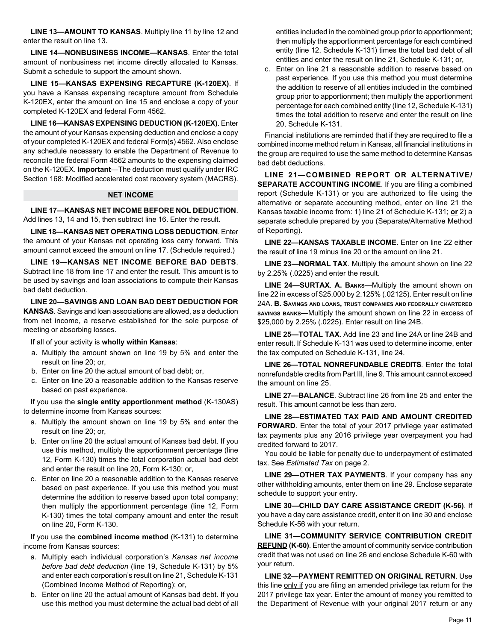**LINE 13—AMOUNT TO KANSAS**. Multiply line 11 by line 12 and enter the result on line 13.

**LINE 14—NONBUSINESS INCOME—KANSAS**. Enter the total amount of nonbusiness net income directly allocated to Kansas. Submit a schedule to support the amount shown.

 **LINE 15—KANSAS EXPENSING RECAPTURE (K-120EX)**. If you have a Kansas expensing recapture amount from Schedule K-120EX, enter the amount on line 15 and enclose a copy of your completed K-120EX and federal Form 4562.

**LINE 16—KANSAS EXPENSING DEDUCTION (K-120EX)**. Enter the amount of your Kansas expensing deduction and enclose a copy of your completed K-120EX and federal Form(s) 4562. Also enclose any schedule necessary to enable the Department of Revenue to reconcile the federal Form 4562 amounts to the expensing claimed on the K-120EX. **Important**—The deduction must qualify under IRC Section 168: Modified accelerated cost recovery system (MACRS).

#### **NET INCOME**

**LINE 17—KANSAS NET INCOME BEFORE NOL DEDUCTION**. Add lines 13, 14 and 15, then subtract line 16. Enter the result.

 **LINE 18—KANSAS NET OPERATING LOSS DEDUCTION**. Enter the amount of your Kansas net operating loss carry forward. This amount cannot exceed the amount on line 17. (Schedule required.)

 **LINE 19—KANSAS NET INCOME BEFORE BAD DEBTS**. Subtract line 18 from line 17 and enter the result. This amount is to be used by savings and loan associations to compute their Kansas bad debt deduction.

**LINE 20—SAVINGS AND LOAN BAD DEBT DEDUCTION FOR KANSAS**. Savings and loan associations are allowed, as a deduction from net income, a reserve established for the sole purpose of meeting or absorbing losses.

If all of your activity is **wholly within Kansas**:

- a. Multiply the amount shown on line 19 by 5% and enter the result on line 20; or,
- b. Enter on line 20 the actual amount of bad debt; or,
- c. Enter on line 20 a reasonable addition to the Kansas reserve based on past experience.

If you use the **single entity apportionment method** (K-130AS) to determine income from Kansas sources:

- a. Multiply the amount shown on line 19 by 5% and enter the result on line 20; or,
- b. Enter on line 20 the actual amount of Kansas bad debt. If you use this method, multiply the apportionment percentage (line 12, Form K-130) times the total corporation actual bad debt and enter the result on line 20, Form K-130; or,
- c. Enter on line 20 a reasonable addition to the Kansas reserve based on past experience. If you use this method you must determine the addition to reserve based upon total company; then multiply the apportionment percentage (line 12, Form K-130) times the total company amount and enter the result on line 20, Form K-130.

If you use the **combined income method** (K-131) to determine income from Kansas sources:

- a. Multiply each individual corporation's *Kansas net income before bad debt deduction* (line 19, Schedule K-131) by 5% and enter each corporation's result on line 21, Schedule K-131 (Combined Income Method of Reporting); or,
- b. Enter on line 20 the actual amount of Kansas bad debt. If you use this method you must determine the actual bad debt of all

 then multiply the apportionment percentage for each combined entities included in the combined group prior to apportionment; entity (line 12, Schedule K-131) times the total bad debt of all entities and enter the result on line 21, Schedule K-131; or,

c. Enter on line 21 a reasonable addition to reserve based on past experience. If you use this method you must determine the addition to reserve of all entities included in the combined group prior to apportionment; then multiply the apportionment percentage for each combined entity (line 12, Schedule K-131) times the total addition to reserve and enter the result on line 20, Schedule K-131.

Financial institutions are reminded that if they are required to file a combined income method return in Kansas, all financial institutions in the group are required to use the same method to determine Kansas bad debt deductions.

**LINE 21—COMBINED REPORT OR ALTERNATIVE/ SEPARATE ACCOUNTING INCOME**. If you are filing a combined report (Schedule K-131) or you are authorized to file using the alternative or separate accounting method, enter on line 21 the Kansas taxable income from: 1) line 21 of Schedule K-131; **or** 2) a separate schedule prepared by you (Separate/Alternative Method of Reporting).

**LINE 22—KANSAS TAXABLE INCOME**. Enter on line 22 either the result of line 19 minus line 20 or the amount on line 21.

**LINE 23—NORMAL TAX**. Multiply the amount shown on line 22 by 2.25% (.0225) and enter the result.

 24A. **B. sAvings And loAns, trust compAnies And federAlly chArtered LINE 24—SURTAX**. **A. BAnks**—Multiply the amount shown on line 22 in excess of \$25,000 by 2.125% (.02125). Enter result on line **sAvings BAnks**—Multiply the amount shown on line 22 in excess of \$25,000 by 2.25% (.0225). Enter result on line 24B.

**LINE 25—TOTAL TAX**. Add line 23 and line 24A or line 24B and enter result. If Schedule K-131 was used to determine income, enter the tax computed on Schedule K-131, line 24.

**LINE 26—TOTAL NONREFUNDABLE CREDITS**. Enter the total nonrefundable credits from Part III, line 9. This amount cannot exceed the amount on line 25.

 **LINE 27—BALANCE**. Subtract line 26 from line 25 and enter the result. This amount cannot be less than zero.

**LINE 28—ESTIMATED TAX PAID AND AMOUNT CREDITED FORWARD**. Enter the total of your 2017 privilege year estimated tax payments plus any 2016 privilege year overpayment you had credited forward to 2017.

You could be liable for penalty due to underpayment of estimated tax. See *Estimated Tax* on page 2.

**LINE 29—OTHER TAX PAYMENTS**. If your company has any other withholding amounts, enter them on line 29. Enclose separate schedule to support your entry.

 you have a day care assistance credit, enter it on line 30 and enclose **LINE 30—CHILD DAY CARE ASSISTANCE CREDIT (K-56)**. If Schedule K-56 with your return.

**LINE 31—COMMUNITY SERVICE CONTRIBUTION CREDIT REFUND (K-60)**. Enter the amount of community service contribution credit that was not used on line 26 and enclose Schedule K-60 with your return.

**LINE 32—PAYMENT REMITTED ON ORIGINAL RETURN**. Use this line only if you are filing an amended privilege tax return for the 2017 privilege tax year. Enter the amount of money you remitted to the Department of Revenue with your original 2017 return or any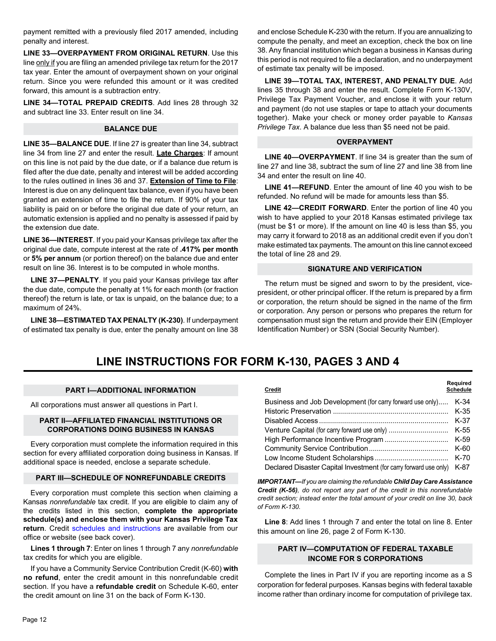payment remitted with a previously filed 2017 amended, including penalty and interest.

**LINE 33—OVERPAYMENT FROM ORIGINAL RETURN**. Use this line only if you are filing an amended privilege tax return for the 2017 tax year. Enter the amount of overpayment shown on your original return. Since you were refunded this amount or it was credited forward, this amount is a subtraction entry.

**LINE 34—TOTAL PREPAID CREDITS**. Add lines 28 through 32 and subtract line 33. Enter result on line 34.

#### **BALANCE DUE**

**LINE 35—BALANCE DUE**. If line 27 is greater than line 34, subtract line 34 from line 27 and enter the result. **Late Charges**: If amount on this line is not paid by the due date, or if a balance due return is filed after the due date, penalty and interest will be added according to the rules outlined in lines 36 and 37. **Extension of Time to File**: Interest is due on any delinquent tax balance, even if you have been granted an extension of time to file the return. If 90% of your tax liability is paid on or before the original due date of your return, an automatic extension is applied and no penalty is assessed if paid by the extension due date.

**LINE 36—INTEREST**. If you paid your Kansas privilege tax after the original due date, compute interest at the rate of **.417% per month**  or **5% per annum** (or portion thereof) on the balance due and enter result on line 36. Interest is to be computed in whole months.

**LINE 37—PENALTY**. If you paid your Kansas privilege tax after the due date, compute the penalty at 1% for each month (or fraction thereof) the return is late, or tax is unpaid, on the balance due; to a maximum of 24%.

**LINE 38—ESTIMATED TAX PENALTY (K-230)**. If underpayment of estimated tax penalty is due, enter the penalty amount on line 38 and enclose Schedule K-230 with the return. If you are annualizing to compute the penalty, and meet an exception, check the box on line 38. Any financial institution which began a business in Kansas during this period is not required to file a declaration, and no underpayment of estimate tax penalty will be imposed.

 together). Make your check or money order payable to *Kansas*  **LINE 39—TOTAL TAX, INTEREST, AND PENALTY DUE**. Add lines 35 through 38 and enter the result. Complete Form K-130V, Privilege Tax Payment Voucher, and enclose it with your return and payment (do not use staples or tape to attach your documents *Privilege Tax*. A balance due less than \$5 need not be paid.

#### **OVERPAYMENT**

**LINE 40—OVERPAYMENT**. If line 34 is greater than the sum of line 27 and line 38, subtract the sum of line 27 and line 38 from line 34 and enter the result on line 40.

**LINE 41—REFUND**. Enter the amount of line 40 you wish to be refunded. No refund will be made for amounts less than \$5.

**LINE 42—CREDIT FORWARD**. Enter the portion of line 40 you wish to have applied to your 2018 Kansas estimated privilege tax (must be \$1 or more). If the amount on line 40 is less than \$5, you may carry it forward to 2018 as an additional credit even if you don't make estimated tax payments. The amount on this line cannot exceed the total of line 28 and 29.

#### **SIGNATURE AND VERIFICATION**

The return must be signed and sworn to by the president, vicepresident, or other principal officer. If the return is prepared by a firm or corporation, the return should be signed in the name of the firm or corporation. Any person or persons who prepares the return for compensation must sign the return and provide their EIN (Employer Identification Number) or SSN (Social Security Number).

# **LINE INSTRUCTIONS FOR FORM K-130, PAGES 3 AND 4**

#### **PART I—ADDITIONAL INFORMATION**

All corporations must answer all questions in Part I.

#### **PART II—AFFILIATED FINANCIAL INSTITUTIONS OR CORPORATIONS DOING BUSINESS IN KANSAS**

Every corporation must complete the information required in this section for every affiliated corporation doing business in Kansas. If additional space is needed, enclose a separate schedule.

#### **PART III—SCHEDULE OF NONREFUNDABLE CREDITS**

Every corporation must complete this section when claiming a Kansas *nonrefundable* tax credit. If you are eligible to claim any of the credits listed in this section, **complete the appropriate schedule(s) and enclose them with your Kansas Privilege Tax return**. Credit schedules and instructions are available from our office or website (see back cover).

**Lines 1 through 7**: Enter on lines 1 through 7 any *nonrefundable*  tax credits for which you are eligible.

If you have a Community Service Contribution Credit (K-60) **with no refund**, enter the credit amount in this nonrefundable credit section. If you have a **refundable credit** on Schedule K-60, enter the credit amount on line 31 on the back of Form K-130.

| Credit                                                            | Required<br><b>Schedule</b> |
|-------------------------------------------------------------------|-----------------------------|
| Business and Job Development (for carry forward use only)         | K-34                        |
|                                                                   | $K-35$                      |
|                                                                   | K-37                        |
|                                                                   | K-55                        |
|                                                                   | K-59                        |
|                                                                   | $K-60$                      |
|                                                                   | $K-70$                      |
| Declared Disaster Capital Investment (for carry forward use only) | K-87                        |

*IMPORTANT—If you are claiming the refundable Child Day Care Assistance Credit (K-56), do not report any part of the credit in this nonrefundable credit section; instead enter the total amount of your credit on line 30, back of Form K-130.* 

**Line 8**: Add lines 1 through 7 and enter the total on line 8. Enter this amount on line 26, page 2 of Form K-130.

#### **PART IV—COMPUTATION OF FEDERAL TAXABLE INCOME FOR S CORPORATIONS**

Complete the lines in Part IV if you are reporting income as a S corporation for federal purposes. Kansas begins with federal taxable income rather than ordinary income for computation of privilege tax.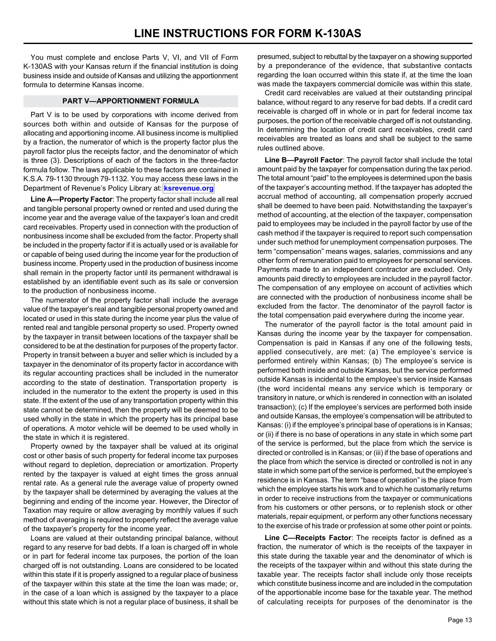You must complete and enclose Parts V, VI, and VII of Form K-130AS with your Kansas return if the financial institution is doing business inside and outside of Kansas and utilizing the apportionment formula to determine Kansas income.

#### **PART V—APPORTIONMENT FORMULA**

Part V is to be used by corporations with income derived from sources both within and outside of Kansas for the purpose of allocating and apportioning income. All business income is multiplied by a fraction, the numerator of which is the property factor plus the payroll factor plus the receipts factor, and the denominator of which is three (3). Descriptions of each of the factors in the three-factor formula follow. The laws applicable to these factors are contained in K.S.A. 79-1130 through 79-1132. You may access these laws in the Department of Revenue's Policy Library at: **[ksrevenue.org](http://rvpolicy.kdor.ks.gov/Pilots/Ntrntpil/IPILv1x0.NSF/Web.Frameset?OpenFrameSet)** 

**Line A—Property Factor**: The property factor shall include all real and tangible personal property owned or rented and used during the income year and the average value of the taxpayer's loan and credit card receivables. Property used in connection with the production of nonbusiness income shall be excluded from the factor. Property shall be included in the property factor if it is actually used or is available for or capable of being used during the income year for the production of business income. Property used in the production of business income shall remain in the property factor until its permanent withdrawal is established by an identifiable event such as its sale or conversion to the production of nonbusiness income.

 according to the state of destination. Transportation property is state. If the extent of the use of any transportation property within this The numerator of the property factor shall include the average value of the taxpayer's real and tangible personal property owned and located or used in this state during the income year plus the value of rented real and tangible personal property so used. Property owned by the taxpayer in transit between locations of the taxpayer shall be considered to be at the destination for purposes of the property factor. Property in transit between a buyer and seller which is included by a taxpayer in the denominator of its property factor in accordance with its regular accounting practices shall be included in the numerator included in the numerator to the extent the property is used in this state cannot be determined, then the property will be deemed to be used wholly in the state in which the property has its principal base of operations. A motor vehicle will be deemed to be used wholly in the state in which it is registered.

Property owned by the taxpayer shall be valued at its original cost or other basis of such property for federal income tax purposes without regard to depletion, depreciation or amortization. Property rented by the taxpayer is valued at eight times the gross annual rental rate. As a general rule the average value of property owned by the taxpayer shall be determined by averaging the values at the beginning and ending of the income year. However, the Director of Taxation may require or allow averaging by monthly values if such method of averaging is required to properly reflect the average value of the taxpayer's property for the income year.

Loans are valued at their outstanding principal balance, without regard to any reserve for bad debts. If a loan is charged off in whole or in part for federal income tax purposes, the portion of the loan charged off is not outstanding. Loans are considered to be located within this state if it is properly assigned to a regular place of business of the taxpayer within this state at the time the loan was made; or, in the case of a loan which is assigned by the taxpayer to a place without this state which is not a regular place of business, it shall be presumed, subject to rebuttal by the taxpayer on a showing supported by a preponderance of the evidence, that substantive contacts regarding the loan occurred within this state if, at the time the loan was made the taxpayers commercial domicile was within this state.

 purposes, the portion of the receivable charged off is not outstanding. Credit card receivables are valued at their outstanding principal balance, without regard to any reserve for bad debts. If a credit card receivable is charged off in whole or in part for federal income tax In determining the location of credit card receivables, credit card receivables are treated as loans and shall be subject to the same rules outlined above.

 of the taxpayer's accounting method. If the taxpayer has adopted the **Line B—Payroll Factor**: The payroll factor shall include the total amount paid by the taxpayer for compensation during the tax period. The total amount "paid" to the employees is determined upon the basis accrual method of accounting, all compensation properly accrued shall be deemed to have been paid. Notwithstanding the taxpayer's method of accounting, at the election of the taxpayer, compensation paid to employees may be included in the payroll factor by use of the cash method if the taxpayer is required to report such compensation under such method for unemployment compensation purposes. The term "compensation" means wages, salaries, commissions and any other form of remuneration paid to employees for personal services. Payments made to an independent contractor are excluded. Only amounts paid directly to employees are included in the payroll factor. The compensation of any employee on account of activities which are connected with the production of nonbusiness income shall be excluded from the factor. The denominator of the payroll factor is the total compensation paid everywhere during the income year.

 applied consecutively, are met: (a) The employee's service is Kansas: (i) if the employee's principal base of operations is in Kansas; state in which some part of the service is performed, but the employee's to the exercise of his trade or profession at some other point or points. The numerator of the payroll factor is the total amount paid in Kansas during the income year by the taxpayer for compensation. Compensation is paid in Kansas if any one of the following tests, performed entirely within Kansas; (b) The employee's service is performed both inside and outside Kansas, but the service performed outside Kansas is incidental to the employee's service inside Kansas (the word incidental means any service which is temporary or transitory in nature, or which is rendered in connection with an isolated transaction); (c) If the employee's services are performed both inside and outside Kansas, the employee's compensation will be attributed to or (ii) if there is no base of operations in any state in which some part of the service is performed, but the place from which the service is directed or controlled is in Kansas; or (iii) if the base of operations and the place from which the service is directed or controlled is not in any residence is in Kansas. The term "base of operation" is the place from which the employee starts his work and to which he customarily returns in order to receive instructions from the taxpayer or communications from his customers or other persons, or to replenish stock or other materials, repair equipment, or perform any other functions necessary

 of calculating receipts for purposes of the denominator is the **Line C—Receipts Factor**: The receipts factor is defined as a fraction, the numerator of which is the receipts of the taxpayer in this state during the taxable year and the denominator of which is the receipts of the taxpayer within and without this state during the taxable year. The receipts factor shall include only those receipts which constitute business income and are included in the computation of the apportionable income base for the taxable year. The method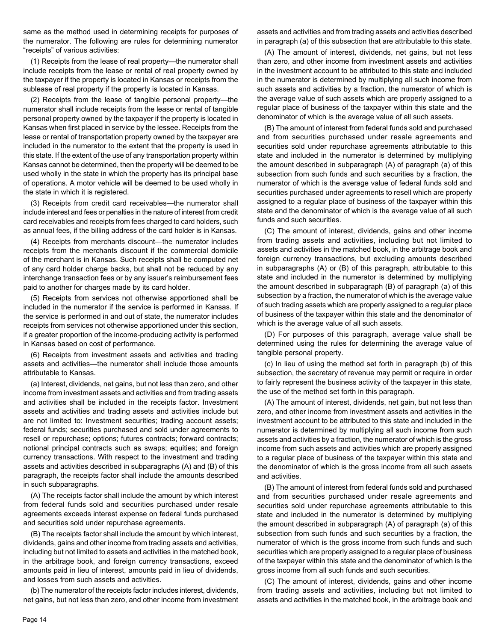same as the method used in determining receipts for purposes of the numerator. The following are rules for determining numerator "receipts" of various activities:

(1) Receipts from the lease of real property—the numerator shall include receipts from the lease or rental of real property owned by the taxpayer if the property is located in Kansas or receipts from the sublease of real property if the property is located in Kansas.

 this state. If the extent of the use of any transportation property within (2) Receipts from the lease of tangible personal property—the numerator shall include receipts from the lease or rental of tangible personal property owned by the taxpayer if the property is located in Kansas when first placed in service by the lessee. Receipts from the lease or rental of transportation property owned by the taxpayer are included in the numerator to the extent that the property is used in Kansas cannot be determined, then the property will be deemed to be used wholly in the state in which the property has its principal base of operations. A motor vehicle will be deemed to be used wholly in the state in which it is registered.

(3) Receipts from credit card receivables—the numerator shall include interest and fees or penalties in the nature of interest from credit card receivables and receipts from fees charged to card holders, such as annual fees, if the billing address of the card holder is in Kansas.

(4) Receipts from merchants discount—the numerator includes receipts from the merchants discount if the commercial domicile of the merchant is in Kansas. Such receipts shall be computed net of any card holder charge backs, but shall not be reduced by any interchange transaction fees or by any issuer's reimbursement fees paid to another for charges made by its card holder.

(5) Receipts from services not otherwise apportioned shall be included in the numerator if the service is performed in Kansas. If the service is performed in and out of state, the numerator includes receipts from services not otherwise apportioned under this section, if a greater proportion of the income-producing activity is performed in Kansas based on cost of performance.

(6) Receipts from investment assets and activities and trading assets and activities—the numerator shall include those amounts attributable to Kansas.

(a) Interest, dividends, net gains, but not less than zero, and other income from investment assets and activities and from trading assets and activities shall be included in the receipts factor. Investment assets and activities and trading assets and activities include but are not limited to: Investment securities; trading account assets; federal funds; securities purchased and sold under agreements to resell or repurchase; options; futures contracts; forward contracts; notional principal contracts such as swaps; equities; and foreign currency transactions. With respect to the investment and trading assets and activities described in subparagraphs (A) and (B) of this paragraph, the receipts factor shall include the amounts described in such subparagraphs.

(A) The receipts factor shall include the amount by which interest from federal funds sold and securities purchased under resale agreements exceeds interest expense on federal funds purchased and securities sold under repurchase agreements.

 including but not limited to assets and activities in the matched book, (B) The receipts factor shall include the amount by which interest, dividends, gains and other income from trading assets and activities, in the arbitrage book, and foreign currency transactions, exceed amounts paid in lieu of interest, amounts paid in lieu of dividends, and losses from such assets and activities.

 (b) The numerator of the receipts factor includes interest, dividends, net gains, but not less than zero, and other income from investment

 assets and activities and from trading assets and activities described in paragraph (a) of this subsection that are attributable to this state.

 (A) The amount of interest, dividends, net gains, but not less than zero, and other income from investment assets and activities in the investment account to be attributed to this state and included in the numerator is determined by multiplying all such income from such assets and activities by a fraction, the numerator of which is the average value of such assets which are properly assigned to a regular place of business of the taxpayer within this state and the denominator of which is the average value of all such assets.

(B) The amount of interest from federal funds sold and purchased and from securities purchased under resale agreements and securities sold under repurchase agreements attributable to this state and included in the numerator is determined by multiplying the amount described in subparagraph (A) of paragraph (a) of this subsection from such funds and such securities by a fraction, the numerator of which is the average value of federal funds sold and securities purchased under agreements to resell which are properly assigned to a regular place of business of the taxpayer within this state and the denominator of which is the average value of all such funds and such securities.

 from trading assets and activities, including but not limited to (C) The amount of interest, dividends, gains and other income assets and activities in the matched book, in the arbitrage book and foreign currency transactions, but excluding amounts described in subparagraphs (A) or (B) of this paragraph, attributable to this state and included in the numerator is determined by multiplying the amount described in subparagraph (B) of paragraph (a) of this subsection by a fraction, the numerator of which is the average value of such trading assets which are properly assigned to a regular place of business of the taxpayer within this state and the denominator of which is the average value of all such assets.

(D) For purposes of this paragraph, average value shall be determined using the rules for determining the average value of tangible personal property.

(c) In lieu of using the method set forth in paragraph (b) of this subsection, the secretary of revenue may permit or require in order to fairly represent the business activity of the taxpayer in this state, the use of the method set forth in this paragraph.

(A) The amount of interest, dividends, net gain, but not less than zero, and other income from investment assets and activities in the investment account to be attributed to this state and included in the numerator is determined by multiplying all such income from such assets and activities by a fraction, the numerator of which is the gross income from such assets and activities which are properly assigned to a regular place of business of the taxpayer within this state and the denominator of which is the gross income from all such assets and activities.

(B) The amount of interest from federal funds sold and purchased and from securities purchased under resale agreements and securities sold under repurchase agreements attributable to this state and included in the numerator is determined by multiplying the amount described in subparagraph (A) of paragraph (a) of this subsection from such funds and such securities by a fraction, the numerator of which is the gross income from such funds and such securities which are properly assigned to a regular place of business of the taxpayer within this state and the denominator of which is the gross income from all such funds and such securities.

 from trading assets and activities, including but not limited to (C) The amount of interest, dividends, gains and other income assets and activities in the matched book, in the arbitrage book and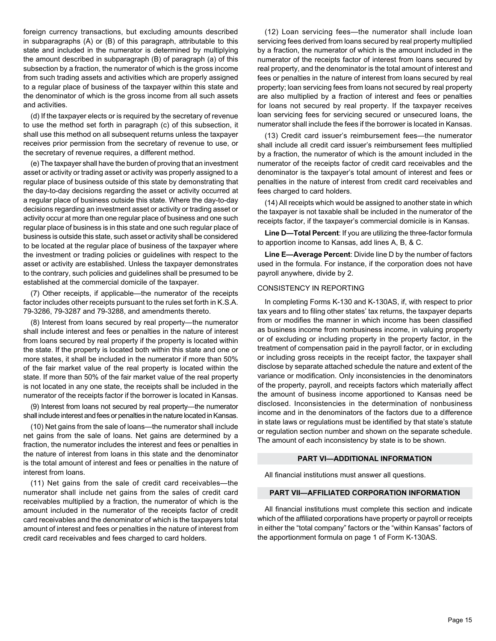foreign currency transactions, but excluding amounts described in subparagraphs (A) or (B) of this paragraph, attributable to this state and included in the numerator is determined by multiplying the amount described in subparagraph (B) of paragraph (a) of this subsection by a fraction, the numerator of which is the gross income from such trading assets and activities which are properly assigned to a regular place of business of the taxpayer within this state and the denominator of which is the gross income from all such assets and activities.

(d) If the taxpayer elects or is required by the secretary of revenue to use the method set forth in paragraph (c) of this subsection, it shall use this method on all subsequent returns unless the taxpayer receives prior permission from the secretary of revenue to use, or the secretary of revenue requires, a different method.

 (e) The taxpayer shall have the burden of proving that an investment asset or activity or trading asset or activity was properly assigned to a regular place of business outside of this state by demonstrating that the day-to-day decisions regarding the asset or activity occurred at a regular place of business outside this state. Where the day-to-day decisions regarding an investment asset or activity or trading asset or activity occur at more than one regular place of business and one such regular place of business is in this state and one such regular place of business is outside this state, such asset or activity shall be considered to be located at the regular place of business of the taxpayer where the investment or trading policies or guidelines with respect to the asset or activity are established. Unless the taxpayer demonstrates to the contrary, such policies and guidelines shall be presumed to be established at the commercial domicile of the taxpayer.

(7) Other receipts, if applicable—the numerator of the receipts factor includes other receipts pursuant to the rules set forth in K.S.A. 79-3286, 79-3287 and 79-3288, and amendments thereto.

(8) Interest from loans secured by real property—the numerator shall include interest and fees or penalties in the nature of interest from loans secured by real property if the property is located within the state. If the property is located both within this state and one or more states, it shall be included in the numerator if more than 50% of the fair market value of the real property is located within the state. If more than 50% of the fair market value of the real property is not located in any one state, the receipts shall be included in the numerator of the receipts factor if the borrower is located in Kansas.

(9) Interest from loans not secured by real property—the numerator shall include interest and fees or penalties in the nature located in Kansas.

(10) Net gains from the sale of loans—the numerator shall include net gains from the sale of loans. Net gains are determined by a fraction, the numerator includes the interest and fees or penalties in the nature of interest from loans in this state and the denominator is the total amount of interest and fees or penalties in the nature of interest from loans.

(11) Net gains from the sale of credit card receivables—the numerator shall include net gains from the sales of credit card receivables multiplied by a fraction, the numerator of which is the amount included in the numerator of the receipts factor of credit card receivables and the denominator of which is the taxpayers total amount of interest and fees or penalties in the nature of interest from credit card receivables and fees charged to card holders.

(12) Loan servicing fees—the numerator shall include loan servicing fees derived from loans secured by real property multiplied by a fraction, the numerator of which is the amount included in the numerator of the receipts factor of interest from loans secured by real property, and the denominator is the total amount of interest and fees or penalties in the nature of interest from loans secured by real property; loan servicing fees from loans not secured by real property are also multiplied by a fraction of interest and fees or penalties for loans not secured by real property. If the taxpayer receives loan servicing fees for servicing secured or unsecured loans, the numerator shall include the fees if the borrower is located in Kansas.

(13) Credit card issuer's reimbursement fees—the numerator shall include all credit card issuer's reimbursement fees multiplied by a fraction, the numerator of which is the amount included in the numerator of the receipts factor of credit card receivables and the denominator is the taxpayer's total amount of interest and fees or penalties in the nature of interest from credit card receivables and fees charged to card holders.

(14) All receipts which would be assigned to another state in which the taxpayer is not taxable shall be included in the numerator of the receipts factor, if the taxpayer's commercial domicile is in Kansas.

 **Line D—Total Percent**: If you are utilizing the three-factor formula to apportion income to Kansas, add lines A, B, & C.

**Line E—Average Percent**: Divide line D by the number of factors used in the formula. For instance, if the corporation does not have payroll anywhere, divide by 2.

#### CONSISTENCY IN REPORTING

 the amount of business income apportioned to Kansas need be In completing Forms K-130 and K-130AS, if, with respect to prior tax years and to filing other states' tax returns, the taxpayer departs from or modifies the manner in which income has been classified as business income from nonbusiness income, in valuing property or of excluding or including property in the property factor, in the treatment of compensation paid in the payroll factor, or in excluding or including gross receipts in the receipt factor, the taxpayer shall disclose by separate attached schedule the nature and extent of the variance or modification. Only inconsistencies in the denominators of the property, payroll, and receipts factors which materially affect disclosed. Inconsistencies in the determination of nonbusiness income and in the denominators of the factors due to a difference in state laws or regulations must be identified by that state's statute or regulation section number and shown on the separate schedule. The amount of each inconsistency by state is to be shown.

#### **PART VI—ADDITIONAL INFORMATION**

All financial institutions must answer all questions.

#### **PART VII—AFFILIATED CORPORATION INFORMATION**

 which of the affiliated corporations have property or payroll or receipts All financial institutions must complete this section and indicate in either the "total company" factors or the "within Kansas" factors of the apportionment formula on page 1 of Form K-130AS.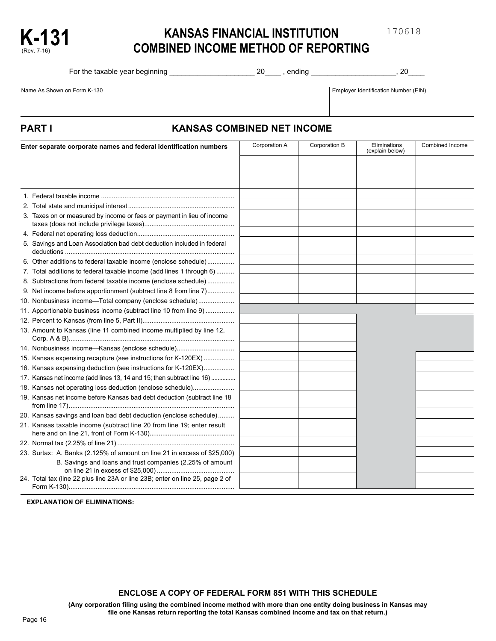

# **KANSAS FINANCIAL INSTITUTION**<br>
COMBINED INCOME METHOD OF REPORTING

For the taxable year beginning and the set of the set of the taxable year beginning the set of the set of the set of the set of the set of the set of the set of the set of the set of the set of the set of the set of the se

170618

|                                                                   | Name As Shown on Form K-130                                                   |               | Employer Identification Number (EIN) |                                 |                 |  |  |  |
|-------------------------------------------------------------------|-------------------------------------------------------------------------------|---------------|--------------------------------------|---------------------------------|-----------------|--|--|--|
|                                                                   |                                                                               |               |                                      |                                 |                 |  |  |  |
|                                                                   | <b>PARTI</b><br><b>KANSAS COMBINED NET INCOME</b>                             |               |                                      |                                 |                 |  |  |  |
| Enter separate corporate names and federal identification numbers |                                                                               | Corporation A | Corporation B                        | Eliminations<br>(explain below) | Combined Income |  |  |  |
|                                                                   |                                                                               |               |                                      |                                 |                 |  |  |  |
|                                                                   |                                                                               |               |                                      |                                 |                 |  |  |  |
|                                                                   |                                                                               |               |                                      |                                 |                 |  |  |  |
|                                                                   | 3. Taxes on or measured by income or fees or payment in lieu of income        |               |                                      |                                 |                 |  |  |  |
|                                                                   |                                                                               |               |                                      |                                 |                 |  |  |  |
|                                                                   | 5. Savings and Loan Association bad debt deduction included in federal        |               |                                      |                                 |                 |  |  |  |
|                                                                   | 6. Other additions to federal taxable income (enclose schedule)               |               |                                      |                                 |                 |  |  |  |
|                                                                   | 7. Total additions to federal taxable income (add lines 1 through 6)          |               |                                      |                                 |                 |  |  |  |
|                                                                   | 8. Subtractions from federal taxable income (enclose schedule)                |               |                                      |                                 |                 |  |  |  |
|                                                                   | 9. Net income before apportionment (subtract line 8 from line 7)              |               |                                      |                                 |                 |  |  |  |
|                                                                   | 10. Nonbusiness income-Total company (enclose schedule)                       |               |                                      |                                 |                 |  |  |  |
|                                                                   | 11. Apportionable business income (subtract line 10 from line 9)              |               |                                      |                                 |                 |  |  |  |
|                                                                   |                                                                               |               |                                      |                                 |                 |  |  |  |
|                                                                   | 13. Amount to Kansas (line 11 combined income multiplied by line 12,          |               |                                      |                                 |                 |  |  |  |
|                                                                   | 14. Nonbusiness income-Kansas (enclose schedule)                              |               |                                      |                                 |                 |  |  |  |
|                                                                   | 15. Kansas expensing recapture (see instructions for K-120EX)                 |               |                                      |                                 |                 |  |  |  |
|                                                                   | 16. Kansas expensing deduction (see instructions for K-120EX)                 |               |                                      |                                 |                 |  |  |  |
|                                                                   | 17. Kansas net income (add lines 13, 14 and 15; then subtract line 16)        |               |                                      |                                 |                 |  |  |  |
|                                                                   | 18. Kansas net operating loss deduction (enclose schedule)                    |               |                                      |                                 |                 |  |  |  |
|                                                                   | 19. Kansas net income before Kansas bad debt deduction (subtract line 18      |               |                                      |                                 |                 |  |  |  |
|                                                                   | 20. Kansas savings and loan bad debt deduction (enclose schedule)             |               |                                      |                                 |                 |  |  |  |
|                                                                   | 21. Kansas taxable income (subtract line 20 from line 19; enter result        |               |                                      |                                 |                 |  |  |  |
|                                                                   |                                                                               |               |                                      |                                 |                 |  |  |  |
|                                                                   | 23. Surtax: A. Banks (2.125% of amount on line 21 in excess of \$25,000)      |               |                                      |                                 |                 |  |  |  |
|                                                                   | B. Savings and loans and trust companies (2.25% of amount                     |               |                                      |                                 |                 |  |  |  |
|                                                                   | 24. Total tax (line 22 plus line 23A or line 23B; enter on line 25, page 2 of |               |                                      |                                 |                 |  |  |  |

**EXPLANATION OF ELIMINATIONS:** 

**ENCLOSE A COPY OF FEDERAL FORM 851 WITH THIS SCHEDULE** 

**(Any corporation filing using the combined income method with more than one entity doing business in Kansas may file one Kansas return reporting the total Kansas combined income and tax on that return.)**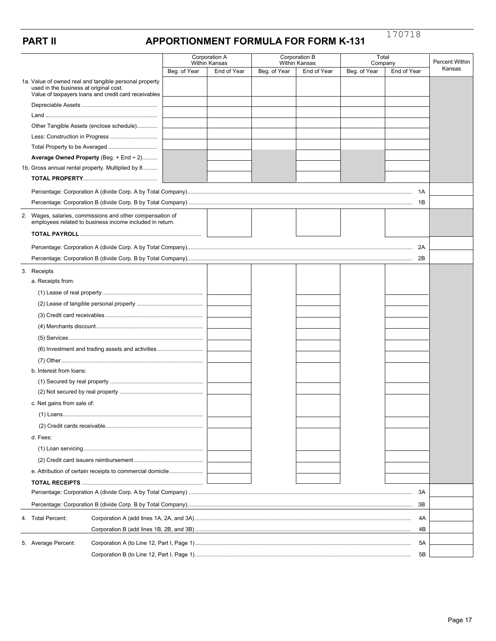|--|

## **APPORTIONMENT FORMULA FOR FORM K-131**

|  |                                        |                                                                                                                       | Corporation A<br><b>Within Kansas</b> |             | Corporation B<br><b>Within Kansas</b> |             | Total<br>Company |             | Percent Within |
|--|----------------------------------------|-----------------------------------------------------------------------------------------------------------------------|---------------------------------------|-------------|---------------------------------------|-------------|------------------|-------------|----------------|
|  |                                        |                                                                                                                       | Beg. of Year                          | End of Year | Beg. of Year                          | End of Year | Beg. of Year     | End of Year | Kansas         |
|  | used in the business at original cost. | 1a. Value of owned real and tangible personal property<br>Value of taxpayers loans and credit card receivables        |                                       |             |                                       |             |                  |             |                |
|  |                                        |                                                                                                                       |                                       |             |                                       |             |                  |             |                |
|  |                                        |                                                                                                                       |                                       |             |                                       |             |                  |             |                |
|  |                                        | Other Tangible Assets (enclose schedule)                                                                              |                                       |             |                                       |             |                  |             |                |
|  |                                        |                                                                                                                       |                                       |             |                                       |             |                  |             |                |
|  |                                        |                                                                                                                       |                                       |             |                                       |             |                  |             |                |
|  |                                        | Average Owned Property (Beg. + End + 2)                                                                               |                                       |             |                                       |             |                  |             |                |
|  |                                        | 1b. Gross annual rental property. Multiplied by 8                                                                     |                                       |             |                                       |             |                  |             |                |
|  |                                        |                                                                                                                       |                                       |             | 1A                                    |             |                  |             |                |
|  |                                        |                                                                                                                       |                                       |             |                                       |             |                  |             |                |
|  |                                        | 2. Wages, salaries, commissions and other compensation of<br>employees related to business income included in return. |                                       |             |                                       |             |                  |             |                |
|  |                                        |                                                                                                                       |                                       |             |                                       |             |                  |             |                |
|  |                                        |                                                                                                                       |                                       |             |                                       |             |                  |             |                |
|  |                                        |                                                                                                                       |                                       |             | 2A<br>2Β                              |             |                  |             |                |
|  |                                        |                                                                                                                       |                                       |             |                                       |             |                  |             |                |
|  | 3. Receipts<br>a. Receipts from:       |                                                                                                                       |                                       |             |                                       |             |                  |             |                |
|  |                                        |                                                                                                                       |                                       |             |                                       |             |                  |             |                |
|  |                                        |                                                                                                                       |                                       |             |                                       |             |                  |             |                |
|  |                                        |                                                                                                                       |                                       |             |                                       |             |                  |             |                |
|  |                                        |                                                                                                                       |                                       |             |                                       |             |                  |             |                |
|  |                                        |                                                                                                                       |                                       |             |                                       |             |                  |             |                |
|  |                                        | (6) Investment and trading assets and activities                                                                      |                                       |             |                                       |             |                  |             |                |
|  |                                        |                                                                                                                       |                                       |             |                                       |             |                  |             |                |
|  | b. Interest from loans:                |                                                                                                                       |                                       |             |                                       |             |                  |             |                |
|  |                                        |                                                                                                                       |                                       |             |                                       |             |                  |             |                |
|  |                                        |                                                                                                                       |                                       |             |                                       |             |                  |             |                |
|  | c. Net gains from sale of:             |                                                                                                                       |                                       |             |                                       |             |                  |             |                |
|  |                                        |                                                                                                                       |                                       |             |                                       |             |                  |             |                |
|  |                                        |                                                                                                                       |                                       |             |                                       |             |                  |             |                |
|  | d. Fees:                               |                                                                                                                       |                                       |             |                                       |             |                  |             |                |
|  |                                        |                                                                                                                       |                                       |             |                                       |             |                  |             |                |
|  |                                        |                                                                                                                       |                                       |             |                                       |             |                  |             |                |
|  |                                        | e. Attribution of certain receipts to commercial domicile                                                             |                                       |             |                                       |             |                  |             |                |
|  |                                        |                                                                                                                       |                                       |             |                                       |             |                  |             |                |
|  |                                        |                                                                                                                       |                                       |             |                                       |             |                  | 3A          |                |
|  |                                        |                                                                                                                       |                                       |             |                                       |             |                  | 3B          |                |
|  | 4. Total Percent:                      |                                                                                                                       |                                       |             |                                       |             |                  | 4A          |                |
|  |                                        |                                                                                                                       |                                       |             |                                       |             |                  | 4B          |                |
|  |                                        |                                                                                                                       |                                       |             |                                       |             |                  |             |                |
|  | 5. Average Percent:                    |                                                                                                                       |                                       |             |                                       |             |                  | 5A          |                |
|  |                                        |                                                                                                                       |                                       |             |                                       |             |                  | 5B          |                |